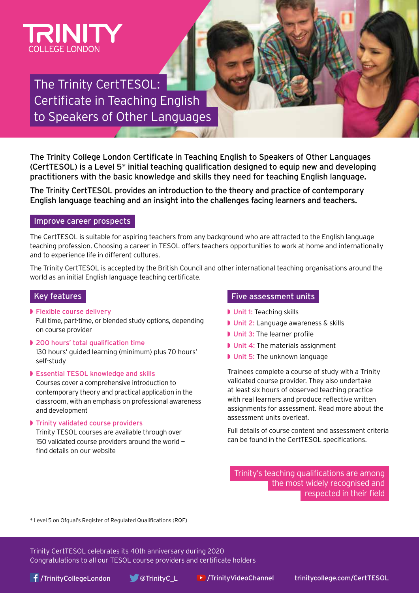

# The Trinity CertTESOL: Certificate in Teaching English to Speakers of Other Languages

The Trinity College London Certificate in Teaching English to Speakers of Other Languages (CertTESOL) is a Level 5*\** initial teaching qualification designed to equip new and developing practitioners with the basic knowledge and skills they need for teaching English language.

The Trinity CertTESOL provides an introduction to the theory and practice of contemporary English language teaching and an insight into the challenges facing learners and teachers.

#### Improve career prospects

The CertTESOL is suitable for aspiring teachers from any background who are attracted to the English language teaching profession. Choosing a career in TESOL offers teachers opportunities to work at home and internationally and to experience life in different cultures.

The Trinity CertTESOL is accepted by the British Council and other international teaching organisations around the world as an initial English language teaching certificate.

### Key features

- ◗ Flexible course delivery Full time, part-time, or blended study options, depending on course provider
- ◗ 200 hours' total qualification time 130 hours' guided learning (minimum) plus 70 hours' self-study
- ◗ Essential TESOL knowledge and skills Courses cover a comprehensive introduction to contemporary theory and practical application in the classroom, with an emphasis on professional awareness and development
- ◗ Trinity validated course providers Trinity TESOL courses are available through over 150 validated course providers around the world find details on our website

#### Five assessment units

- ◗ Unit 1: Teaching skills
- ◗ Unit 2: Language awareness & skills
- ◗ Unit 3: The learner profile
- ◗ Unit 4: The materials assignment
- ◗ Unit 5: The unknown language

Trainees complete a course of study with a Trinity validated course provider. They also undertake at least six hours of observed teaching practice with real learners and produce reflective written assignments for assessment. Read more about the assessment units overleaf.

Full details of course content and assessment criteria can be found in the CertTESOL specifications.

Trinity's teaching qualifications are among the most widely recognised and respected in their field

\* Level 5 on Ofqual's Register of Regulated Qualifications (RQF)

Trinity CertTESOL celebrates its 40th anniversary during 2020 Congratulations to all our TESOL course providers and certificate holders

[/TrinityCollegeLondon](https://www.facebook.com/TrinityCollegeLondon/) [@TrinityC\\_L](https://twitter.com/TrinityC_L) [/TrinityVideoChannel](https://www.youtube.com/user/TrinityVideoChannel/featured) [trinitycollege.com/CertTESOL](http://trinitycollege.com/CertTESOL)